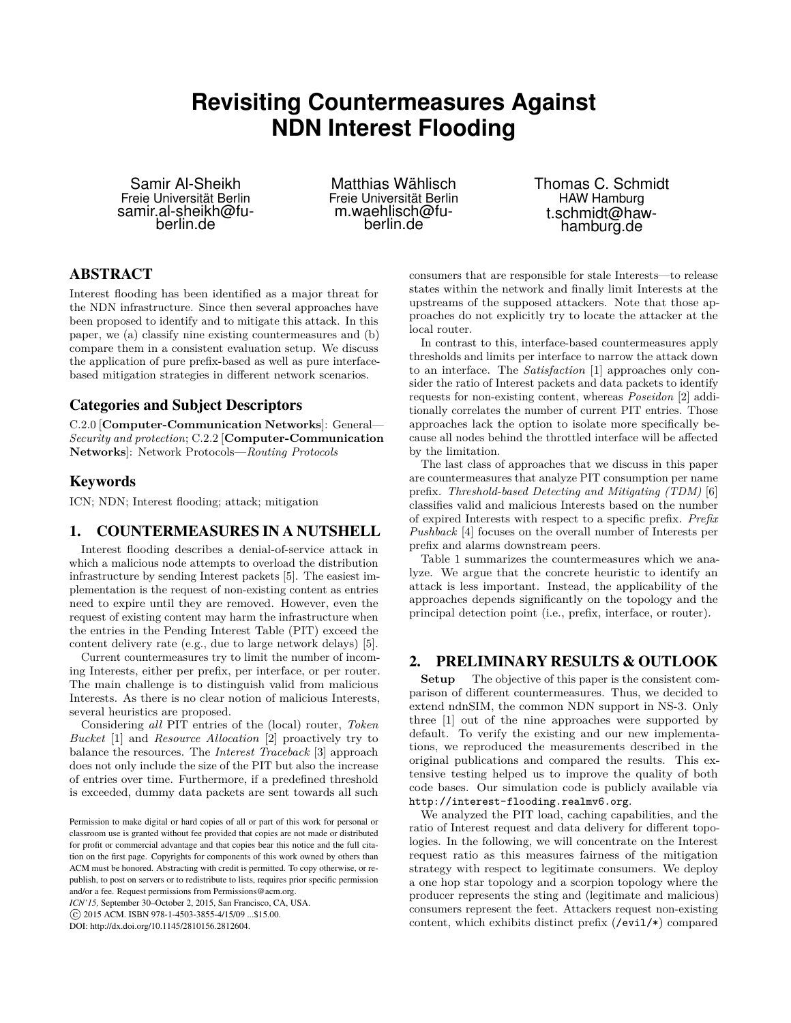# **Revisiting Countermeasures Against NDN Interest Flooding**

Samir Al-Sheikh Freie Universität Berlin samir.al-sheikh@fuberlin.de

Matthias Wählisch Freie Universität Berlin m.waehlisch@fuberlin.de

Thomas C. Schmidt HAW Hamburg t.schmidt@hawhamburg.de

# ABSTRACT

Interest flooding has been identified as a major threat for the NDN infrastructure. Since then several approaches have been proposed to identify and to mitigate this attack. In this paper, we (a) classify nine existing countermeasures and (b) compare them in a consistent evaluation setup. We discuss the application of pure prefix-based as well as pure interfacebased mitigation strategies in different network scenarios.

# Categories and Subject Descriptors

C.2.0 [**Computer-Communication Networks**]: General— *Security and protection*; C.2.2 [**Computer-Communication Networks**]: Network Protocols—*Routing Protocols*

# Keywords

ICN; NDN; Interest flooding; attack; mitigation

# 1. COUNTERMEASURES IN A NUTSHELL

Interest flooding describes a denial-of-service attack in which a malicious node attempts to overload the distribution infrastructure by sending Interest packets [\[5\]](#page-1-0). The easiest implementation is the request of non-existing content as entries need to expire until they are removed. However, even the request of existing content may harm the infrastructure when the entries in the Pending Interest Table (PIT) exceed the content delivery rate (e.g., due to large network delays) [\[5\]](#page-1-0).

Current countermeasures try to limit the number of incoming Interests, either per prefix, per interface, or per router. The main challenge is to distinguish valid from malicious Interests. As there is no clear notion of malicious Interests, several heuristics are proposed.

Considering *all* PIT entries of the (local) router, *Token Bucket* [\[1\]](#page-1-1) and *Resource Allocation* [\[2\]](#page-1-2) proactively try to balance the resources. The *Interest Traceback* [\[3\]](#page-1-3) approach does not only include the size of the PIT but also the increase of entries over time. Furthermore, if a predefined threshold is exceeded, dummy data packets are sent towards all such

*ICN'15,* September 30–October 2, 2015, San Francisco, CA, USA.

DOI: http://dx.doi.org/10.1145/2810156.2812604.

consumers that are responsible for stale Interests—to release states within the network and finally limit Interests at the upstreams of the supposed attackers. Note that those approaches do not explicitly try to locate the attacker at the local router.

In contrast to this, interface-based countermeasures apply thresholds and limits per interface to narrow the attack down to an interface. The *Satisfaction* [\[1\]](#page-1-1) approaches only consider the ratio of Interest packets and data packets to identify requests for non-existing content, whereas *Poseidon* [\[2\]](#page-1-2) additionally correlates the number of current PIT entries. Those approaches lack the option to isolate more specifically because all nodes behind the throttled interface will be affected by the limitation.

The last class of approaches that we discuss in this paper are countermeasures that analyze PIT consumption per name prefix. *Threshold-based Detecting and Mitigating (TDM)* [\[6\]](#page-1-4) classifies valid and malicious Interests based on the number of expired Interests with respect to a specific prefix. *Prefix Pushback* [\[4\]](#page-1-5) focuses on the overall number of Interests per prefix and alarms downstream peers.

Table [1](#page-1-6) summarizes the countermeasures which we analyze. We argue that the concrete heuristic to identify an attack is less important. Instead, the applicability of the approaches depends significantly on the topology and the principal detection point (i.e., prefix, interface, or router).

# 2. PRELIMINARY RESULTS & OUTLOOK

**Setup** The objective of this paper is the consistent comparison of different countermeasures. Thus, we decided to extend ndnSIM, the common NDN support in NS-3. Only three [\[1\]](#page-1-1) out of the nine approaches were supported by default. To verify the existing and our new implementations, we reproduced the measurements described in the original publications and compared the results. This extensive testing helped us to improve the quality of both code bases. Our simulation code is publicly available via <http://interest-flooding.realmv6.org>.

We analyzed the PIT load, caching capabilities, and the ratio of Interest request and data delivery for different topologies. In the following, we will concentrate on the Interest request ratio as this measures fairness of the mitigation strategy with respect to legitimate consumers. We deploy a one hop star topology and a scorpion topology where the producer represents the sting and (legitimate and malicious) consumers represent the feet. Attackers request non-existing content, which exhibits distinct prefix (/evil/\*) compared

Permission to make digital or hard copies of all or part of this work for personal or classroom use is granted without fee provided that copies are not made or distributed for profit or commercial advantage and that copies bear this notice and the full citation on the first page. Copyrights for components of this work owned by others than ACM must be honored. Abstracting with credit is permitted. To copy otherwise, or republish, to post on servers or to redistribute to lists, requires prior specific permission and/or a fee. Request permissions from Permissions@acm.org.

c 2015 ACM. ISBN 978-1-4503-3855-4/15/09 ...\$15.00.